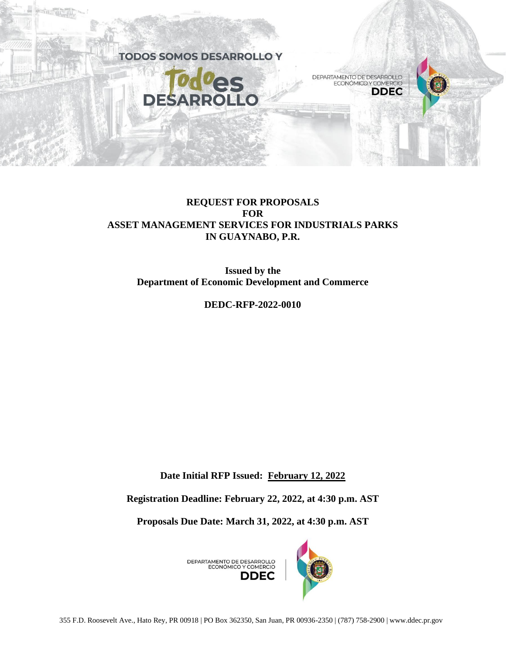

# **REQUEST FOR PROPOSALS FOR ASSET MANAGEMENT SERVICES FOR INDUSTRIALS PARKS IN GUAYNABO, P.R.**

**Issued by the Department of Economic Development and Commerce**

**DEDC-RFP-2022-0010**

**Date Initial RFP Issued: February 12, 2022**

**Registration Deadline: February 22, 2022, at 4:30 p.m. AST**

**Proposals Due Date: March 31, 2022, at 4:30 p.m. AST**

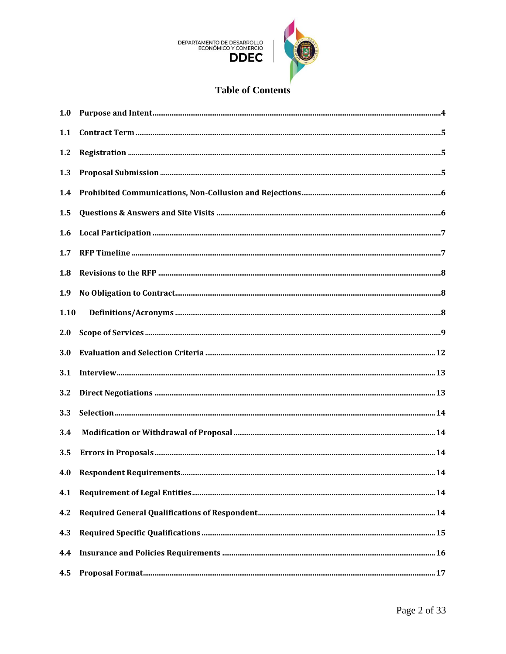

# **Table of Contents**

| 1.0  |  |
|------|--|
| 1.1  |  |
| 1.2  |  |
| 1.3  |  |
| 1.4  |  |
| 1.5  |  |
| 1.6  |  |
| 1.7  |  |
| 1.8  |  |
| 1.9  |  |
| 1.10 |  |
| 2.0  |  |
| 3.0  |  |
| 3.1  |  |
| 3.2  |  |
| 3.3  |  |
| 3.4  |  |
| 3.5  |  |
|      |  |
| 4.1  |  |
| 4.2  |  |
| 4.3  |  |
| 4.4  |  |
| 4.5  |  |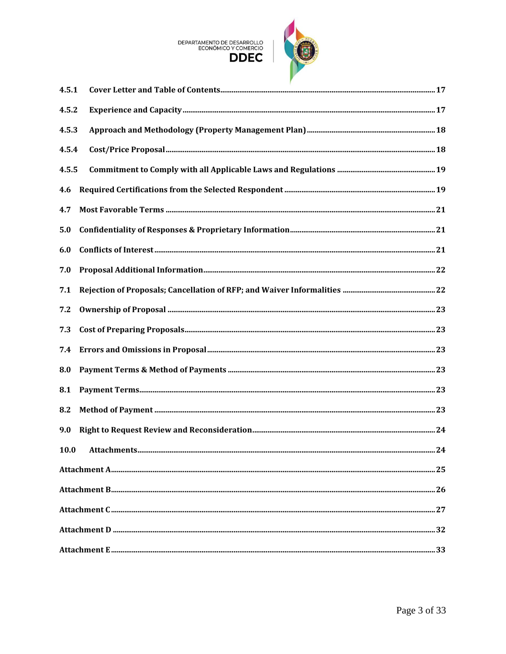# DEPARTAMENTO DE DESARROLLO<br>ECONÓMICO Y COMERCIO



| 4.5.1 |  |
|-------|--|
| 4.5.2 |  |
| 4.5.3 |  |
| 4.5.4 |  |
| 4.5.5 |  |
| 4.6   |  |
| 4.7   |  |
| 5.0   |  |
| 6.0   |  |
| 7.0   |  |
| 7.1   |  |
| 7.2   |  |
| 7.3   |  |
| 7.4   |  |
| 8.0   |  |
| 8.1   |  |
| 8.2   |  |
| 9.0   |  |
|       |  |
|       |  |
|       |  |
|       |  |
|       |  |
|       |  |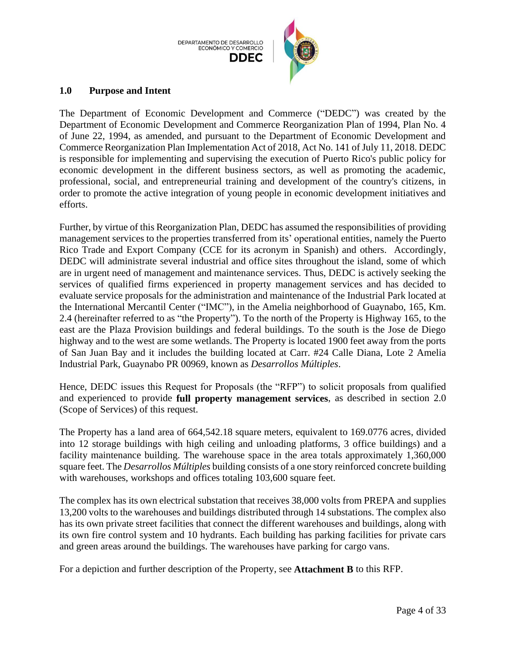

#### <span id="page-3-0"></span>**1.0 Purpose and Intent**

The Department of Economic Development and Commerce ("DEDC") was created by the Department of Economic Development and Commerce Reorganization Plan of 1994, Plan No. 4 of June 22, 1994, as amended, and pursuant to the Department of Economic Development and Commerce Reorganization Plan Implementation Act of 2018, Act No. 141 of July 11, 2018. DEDC is responsible for implementing and supervising the execution of Puerto Rico's public policy for economic development in the different business sectors, as well as promoting the academic, professional, social, and entrepreneurial training and development of the country's citizens, in order to promote the active integration of young people in economic development initiatives and efforts.

Further, by virtue of this Reorganization Plan, DEDC has assumed the responsibilities of providing management services to the properties transferred from its' operational entities, namely the Puerto Rico Trade and Export Company (CCE for its acronym in Spanish) and others. Accordingly, DEDC will administrate several industrial and office sites throughout the island, some of which are in urgent need of management and maintenance services. Thus, DEDC is actively seeking the services of qualified firms experienced in property management services and has decided to evaluate service proposals for the administration and maintenance of the Industrial Park located at the International Mercantil Center ("IMC"), in the Amelia neighborhood of Guaynabo, 165, Km. 2.4 (hereinafter referred to as "the Property"). To the north of the Property is Highway 165, to the east are the Plaza Provision buildings and federal buildings. To the south is the Jose de Diego highway and to the west are some wetlands. The Property is located 1900 feet away from the ports of San Juan Bay and it includes the building located at Carr. #24 Calle Diana, Lote 2 Amelia Industrial Park, Guaynabo PR 00969, known as *Desarrollos Múltiples*.

Hence, DEDC issues this Request for Proposals (the "RFP") to solicit proposals from qualified and experienced to provide **full property management services**, as described in section 2.0 (Scope of Services) of this request.

The Property has a land area of 664,542.18 square meters, equivalent to 169.0776 acres, divided into 12 storage buildings with high ceiling and unloading platforms, 3 office buildings) and a facility maintenance building. The warehouse space in the area totals approximately 1,360,000 square feet. The *Desarrollos Múltiples* building consists of a one story reinforced concrete building with warehouses, workshops and offices totaling 103,600 square feet.

The complex has its own electrical substation that receives 38,000 volts from PREPA and supplies 13,200 volts to the warehouses and buildings distributed through 14 substations. The complex also has its own private street facilities that connect the different warehouses and buildings, along with its own fire control system and 10 hydrants. Each building has parking facilities for private cars and green areas around the buildings. The warehouses have parking for cargo vans.

For a depiction and further description of the Property, see **Attachment B** to this RFP.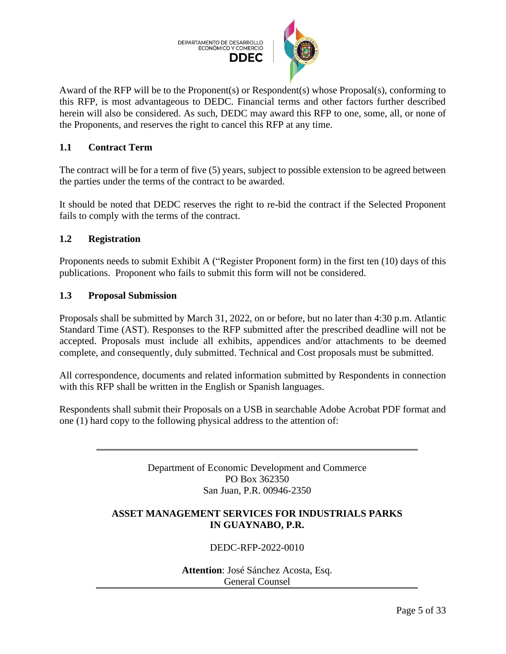

Award of the RFP will be to the Proponent(s) or Respondent(s) whose Proposal(s), conforming to this RFP, is most advantageous to DEDC. Financial terms and other factors further described herein will also be considered. As such, DEDC may award this RFP to one, some, all, or none of the Proponents, and reserves the right to cancel this RFP at any time.

# <span id="page-4-0"></span>**1.1 Contract Term**

The contract will be for a term of five (5) years, subject to possible extension to be agreed between the parties under the terms of the contract to be awarded.

It should be noted that DEDC reserves the right to re-bid the contract if the Selected Proponent fails to comply with the terms of the contract.

# <span id="page-4-1"></span>**1.2 Registration**

Proponents needs to submit Exhibit A ("Register Proponent form) in the first ten (10) days of this publications. Proponent who fails to submit this form will not be considered.

#### <span id="page-4-2"></span>**1.3 Proposal Submission**

Proposals shall be submitted by March 31, 2022, on or before, but no later than 4:30 p.m. Atlantic Standard Time (AST). Responses to the RFP submitted after the prescribed deadline will not be accepted. Proposals must include all exhibits, appendices and/or attachments to be deemed complete, and consequently, duly submitted. Technical and Cost proposals must be submitted.

All correspondence, documents and related information submitted by Respondents in connection with this RFP shall be written in the English or Spanish languages.

Respondents shall submit their Proposals on a USB in searchable Adobe Acrobat PDF format and one (1) hard copy to the following physical address to the attention of:

> Department of Economic Development and Commerce PO Box 362350 San Juan, P.R. 00946-2350

#### **ASSET MANAGEMENT SERVICES FOR INDUSTRIALS PARKS IN GUAYNABO, P.R.**

# DEDC-RFP-2022-0010

**Attention**: José Sánchez Acosta, Esq. General Counsel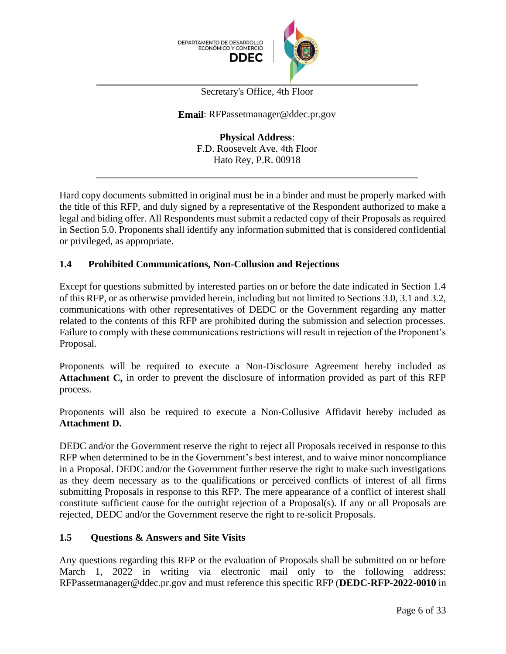



Secretary's Office, 4th Floor

#### **Email**: RFPassetmanager@ddec.pr.gov

**Physical Address**: F.D. Roosevelt Ave. 4th Floor Hato Rey, P.R. 00918

Hard copy documents submitted in original must be in a binder and must be properly marked with the title of this RFP, and duly signed by a representative of the Respondent authorized to make a legal and biding offer. All Respondents must submit a redacted copy of their Proposals as required in Section 5.0. Proponents shall identify any information submitted that is considered confidential or privileged, as appropriate.

# <span id="page-5-0"></span>**1.4 Prohibited Communications, Non-Collusion and Rejections**

Except for questions submitted by interested parties on or before the date indicated in Section 1.4 of this RFP, or as otherwise provided herein, including but not limited to Sections 3.0, 3.1 and 3.2, communications with other representatives of DEDC or the Government regarding any matter related to the contents of this RFP are prohibited during the submission and selection processes. Failure to comply with these communications restrictions will result in rejection of the Proponent's Proposal.

Proponents will be required to execute a Non-Disclosure Agreement hereby included as **Attachment C,** in order to prevent the disclosure of information provided as part of this RFP process.

Proponents will also be required to execute a Non-Collusive Affidavit hereby included as **Attachment D.**

DEDC and/or the Government reserve the right to reject all Proposals received in response to this RFP when determined to be in the Government's best interest, and to waive minor noncompliance in a Proposal. DEDC and/or the Government further reserve the right to make such investigations as they deem necessary as to the qualifications or perceived conflicts of interest of all firms submitting Proposals in response to this RFP. The mere appearance of a conflict of interest shall constitute sufficient cause for the outright rejection of a Proposal(s). If any or all Proposals are rejected, DEDC and/or the Government reserve the right to re-solicit Proposals.

#### <span id="page-5-1"></span>**1.5 Questions & Answers and Site Visits**

Any questions regarding this RFP or the evaluation of Proposals shall be submitted on or before March 1, 2022 in writing via electronic mail only to the following address: RFPassetmanager@ddec.pr.gov and must reference this specific RFP (**DEDC-RFP-2022-0010** in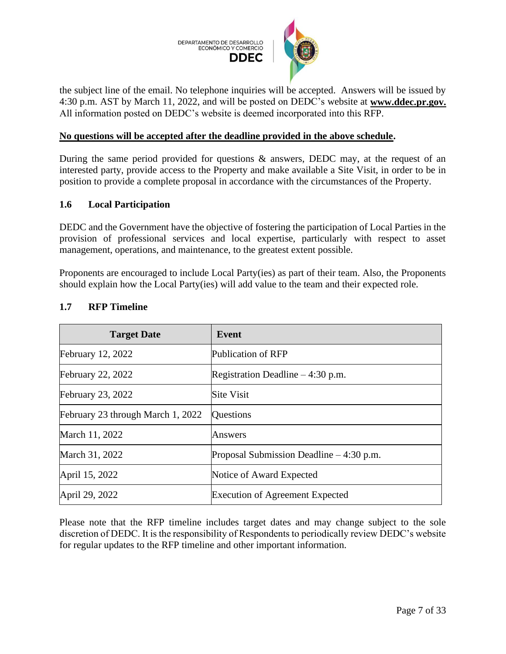

the subject line of the email. No telephone inquiries will be accepted. Answers will be issued by 4:30 p.m. AST by March 11, 2022, and will be posted on DEDC's website at **www.ddec.pr.gov.** All information posted on DEDC's website is deemed incorporated into this RFP.

#### **No questions will be accepted after the deadline provided in the above schedule.**

During the same period provided for questions & answers, DEDC may, at the request of an interested party, provide access to the Property and make available a Site Visit, in order to be in position to provide a complete proposal in accordance with the circumstances of the Property.

#### <span id="page-6-0"></span>**1.6 Local Participation**

DEDC and the Government have the objective of fostering the participation of Local Parties in the provision of professional services and local expertise, particularly with respect to asset management, operations, and maintenance, to the greatest extent possible.

Proponents are encouraged to include Local Party(ies) as part of their team. Also, the Proponents should explain how the Local Party(ies) will add value to the team and their expected role.

| <b>Target Date</b>                | Event                                     |
|-----------------------------------|-------------------------------------------|
| <b>February 12, 2022</b>          | Publication of RFP                        |
| <b>February 22, 2022</b>          | Registration Deadline $-4:30$ p.m.        |
| <b>February 23, 2022</b>          | <b>Site Visit</b>                         |
| February 23 through March 1, 2022 | Questions                                 |
| March 11, 2022                    | Answers                                   |
| March 31, 2022                    | Proposal Submission Deadline $-4:30$ p.m. |
| April 15, 2022                    | Notice of Award Expected                  |
| April 29, 2022                    | <b>Execution of Agreement Expected</b>    |

#### <span id="page-6-1"></span>**1.7 RFP Timeline**

Please note that the RFP timeline includes target dates and may change subject to the sole discretion of DEDC. It is the responsibility of Respondents to periodically review DEDC's website for regular updates to the RFP timeline and other important information.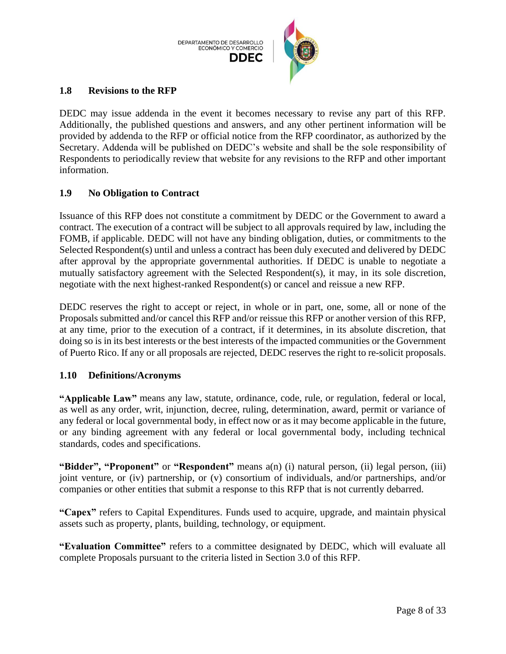

#### <span id="page-7-0"></span>**1.8 Revisions to the RFP**

DEDC may issue addenda in the event it becomes necessary to revise any part of this RFP. Additionally, the published questions and answers, and any other pertinent information will be provided by addenda to the RFP or official notice from the RFP coordinator, as authorized by the Secretary. Addenda will be published on DEDC's website and shall be the sole responsibility of Respondents to periodically review that website for any revisions to the RFP and other important information.

#### <span id="page-7-1"></span>**1.9 No Obligation to Contract**

Issuance of this RFP does not constitute a commitment by DEDC or the Government to award a contract. The execution of a contract will be subject to all approvals required by law, including the FOMB, if applicable. DEDC will not have any binding obligation, duties, or commitments to the Selected Respondent(s) until and unless a contract has been duly executed and delivered by DEDC after approval by the appropriate governmental authorities. If DEDC is unable to negotiate a mutually satisfactory agreement with the Selected Respondent(s), it may, in its sole discretion, negotiate with the next highest-ranked Respondent(s) or cancel and reissue a new RFP.

DEDC reserves the right to accept or reject, in whole or in part, one, some, all or none of the Proposals submitted and/or cancel this RFP and/or reissue this RFP or another version of this RFP, at any time, prior to the execution of a contract, if it determines, in its absolute discretion, that doing so is in its best interests or the best interests of the impacted communities or the Government of Puerto Rico. If any or all proposals are rejected, DEDC reserves the right to re-solicit proposals.

#### <span id="page-7-2"></span>**1.10 Definitions/Acronyms**

**"Applicable Law"** means any law, statute, ordinance, code, rule, or regulation, federal or local, as well as any order, writ, injunction, decree, ruling, determination, award, permit or variance of any federal or local governmental body, in effect now or as it may become applicable in the future, or any binding agreement with any federal or local governmental body, including technical standards, codes and specifications.

**"Bidder", "Proponent"** or **"Respondent"** means a(n) (i) natural person, (ii) legal person, (iii) joint venture, or (iv) partnership, or (v) consortium of individuals, and/or partnerships, and/or companies or other entities that submit a response to this RFP that is not currently debarred.

**"Capex"** refers to Capital Expenditures. Funds used to acquire, upgrade, and maintain physical assets such as property, plants, building, technology, or equipment.

**"Evaluation Committee"** refers to a committee designated by DEDC, which will evaluate all complete Proposals pursuant to the criteria listed in Section 3.0 of this RFP.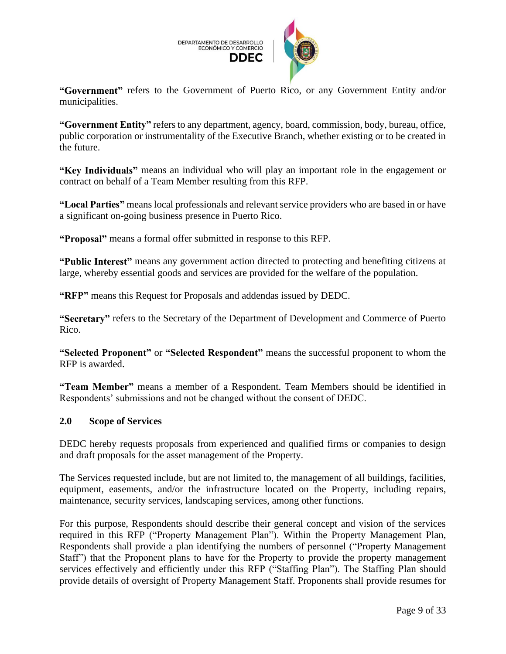

**"Government"** refers to the Government of Puerto Rico, or any Government Entity and/or municipalities.

**"Government Entity"** refers to any department, agency, board, commission, body, bureau, office, public corporation or instrumentality of the Executive Branch, whether existing or to be created in the future.

**"Key Individuals"** means an individual who will play an important role in the engagement or contract on behalf of a Team Member resulting from this RFP.

**"Local Parties"** means local professionals and relevant service providers who are based in or have a significant on-going business presence in Puerto Rico.

**"Proposal"** means a formal offer submitted in response to this RFP.

**"Public Interest"** means any government action directed to protecting and benefiting citizens at large, whereby essential goods and services are provided for the welfare of the population.

**"RFP"** means this Request for Proposals and addendas issued by DEDC.

**"Secretary"** refers to the Secretary of the Department of Development and Commerce of Puerto Rico.

**"Selected Proponent"** or **"Selected Respondent"** means the successful proponent to whom the RFP is awarded.

**"Team Member"** means a member of a Respondent. Team Members should be identified in Respondents' submissions and not be changed without the consent of DEDC.

#### <span id="page-8-0"></span>**2.0 Scope of Services**

DEDC hereby requests proposals from experienced and qualified firms or companies to design and draft proposals for the asset management of the Property.

The Services requested include, but are not limited to, the management of all buildings, facilities, equipment, easements, and/or the infrastructure located on the Property, including repairs, maintenance, security services, landscaping services, among other functions.

For this purpose, Respondents should describe their general concept and vision of the services required in this RFP ("Property Management Plan"). Within the Property Management Plan, Respondents shall provide a plan identifying the numbers of personnel ("Property Management Staff") that the Proponent plans to have for the Property to provide the property management services effectively and efficiently under this RFP ("Staffing Plan"). The Staffing Plan should provide details of oversight of Property Management Staff. Proponents shall provide resumes for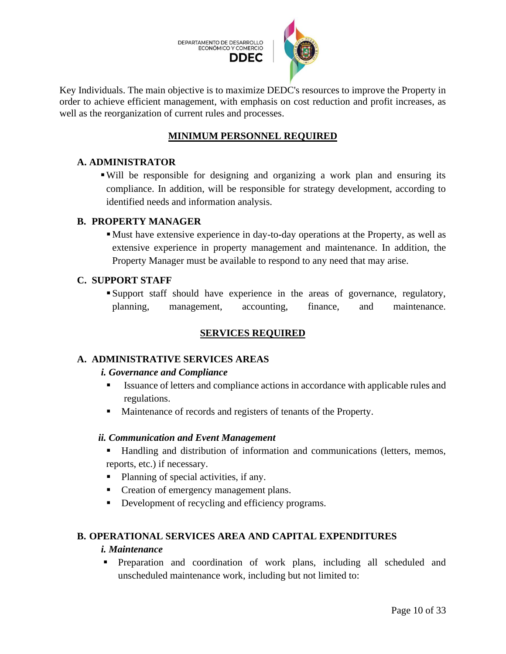

Key Individuals. The main objective is to maximize DEDC's resources to improve the Property in order to achieve efficient management, with emphasis on cost reduction and profit increases, as well as the reorganization of current rules and processes.

# **MINIMUM PERSONNEL REQUIRED**

#### **A. ADMINISTRATOR**

▪Will be responsible for designing and organizing a work plan and ensuring its compliance. In addition, will be responsible for strategy development, according to identified needs and information analysis.

#### **B. PROPERTY MANAGER**

▪Must have extensive experience in day-to-day operations at the Property, as well as extensive experience in property management and maintenance. In addition, the Property Manager must be available to respond to any need that may arise.

#### **C. SUPPORT STAFF**

▪ Support staff should have experience in the areas of governance, regulatory, planning, management, accounting, finance, and maintenance.

# **SERVICES REQUIRED**

# **A. ADMINISTRATIVE SERVICES AREAS**

#### *i. Governance and Compliance*

- Issuance of letters and compliance actions in accordance with applicable rules and regulations.
- Maintenance of records and registers of tenants of the Property.

#### *ii. Communication and Event Management*

- Handling and distribution of information and communications (letters, memos, reports, etc.) if necessary.
- Planning of special activities, if any.
- Creation of emergency management plans.
- Development of recycling and efficiency programs.

# **B. OPERATIONAL SERVICES AREA AND CAPITAL EXPENDITURES**

#### *i. Maintenance*

▪ Preparation and coordination of work plans, including all scheduled and unscheduled maintenance work, including but not limited to: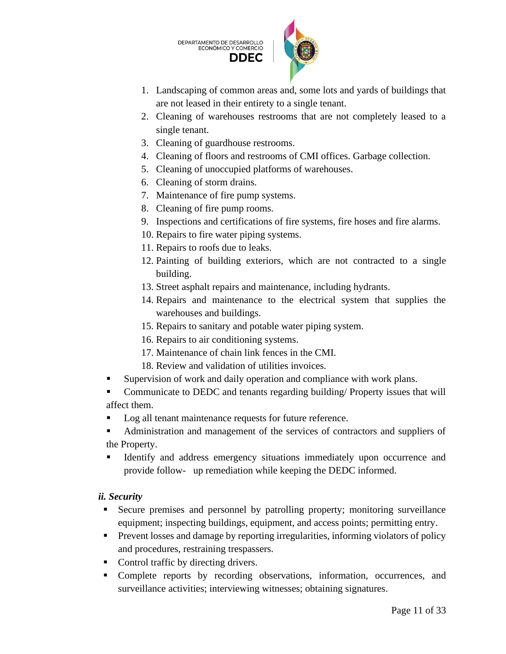DEPARTAMENTO DE DESARROLLO<br>ECONÓMICO Y COMERCIO **DDFC** 



- 1. Landscaping of common areas and, some lots and yards of buildings that are not leased in their entirety to a single tenant.
- 2. Cleaning of warehouses restrooms that are not completely leased to a single tenant.
- 3. Cleaning of guardhouse restrooms.
- 4. Cleaning of floors and restrooms of CMI offices. Garbage collection.
- 5. Cleaning of unoccupied platforms of warehouses.
- 6. Cleaning of storm drains.
- 7. Maintenance of fire pump systems.
- 8. Cleaning of fire pump rooms.
- 9. Inspections and certifications of fire systems, fire hoses and fire alarms.
- 10. Repairs to fire water piping systems.
- 11. Repairs to roofs due to leaks.
- 12. Painting of building exteriors, which are not contracted to a single building.
- 13. Street asphalt repairs and maintenance, including hydrants.
- 14. Repairs and maintenance to the electrical system that supplies the warehouses and buildings.
- 15. Repairs to sanitary and potable water piping system.
- 16. Repairs to air conditioning systems.
- 17. Maintenance of chain link fences in the CMI.
- 18. Review and validation of utilities invoices.
- Supervision of work and daily operation and compliance with work plans.
- Communicate to DEDC and tenants regarding building/ Property issues that will affect them.
- Log all tenant maintenance requests for future reference.
- Administration and management of the services of contractors and suppliers of the Property.
- Identify and address emergency situations immediately upon occurrence and provide follow- up remediation while keeping the DEDC informed.

# *ii. Security*

- Secure premises and personnel by patrolling property; monitoring surveillance equipment; inspecting buildings, equipment, and access points; permitting entry.
- **•** Prevent losses and damage by reporting irregularities, informing violators of policy and procedures, restraining trespassers.
- Control traffic by directing drivers.
- Complete reports by recording observations, information, occurrences, and surveillance activities; interviewing witnesses; obtaining signatures.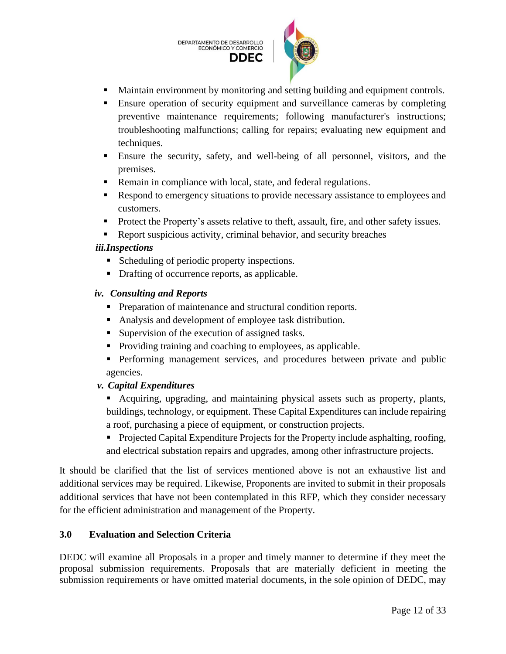DEPARTAMENTO DE DESARROLLO ECONÓMICO Y COMERCIO **DDEC** 



- Maintain environment by monitoring and setting building and equipment controls.
- **Ensure operation of security equipment and surveillance cameras by completing** preventive maintenance requirements; following manufacturer's instructions; troubleshooting malfunctions; calling for repairs; evaluating new equipment and techniques.
- Ensure the security, safety, and well-being of all personnel, visitors, and the premises.
- Remain in compliance with local, state, and federal regulations.
- Respond to emergency situations to provide necessary assistance to employees and customers.
- Protect the Property's assets relative to theft, assault, fire, and other safety issues.
- Report suspicious activity, criminal behavior, and security breaches

# *iii.Inspections*

- Scheduling of periodic property inspections.
- Drafting of occurrence reports, as applicable.

# *iv. Consulting and Reports*

- Preparation of maintenance and structural condition reports.
- Analysis and development of employee task distribution.
- Supervision of the execution of assigned tasks.
- Providing training and coaching to employees, as applicable.
- **•** Performing management services, and procedures between private and public agencies.

# *v. Capital Expenditures*

- Acquiring, upgrading, and maintaining physical assets such as property, plants, buildings, technology, or equipment. These Capital Expenditures can include repairing a roof, purchasing a piece of equipment, or construction projects.
- Projected Capital Expenditure Projects for the Property include asphalting, roofing, and electrical substation repairs and upgrades, among other infrastructure projects.

It should be clarified that the list of services mentioned above is not an exhaustive list and additional services may be required. Likewise, Proponents are invited to submit in their proposals additional services that have not been contemplated in this RFP, which they consider necessary for the efficient administration and management of the Property.

# <span id="page-11-0"></span>**3.0 Evaluation and Selection Criteria**

DEDC will examine all Proposals in a proper and timely manner to determine if they meet the proposal submission requirements. Proposals that are materially deficient in meeting the submission requirements or have omitted material documents, in the sole opinion of DEDC, may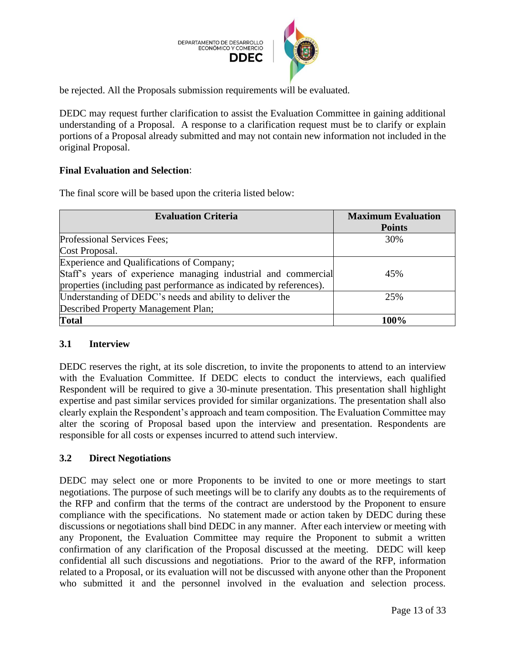

be rejected. All the Proposals submission requirements will be evaluated.

DEDC may request further clarification to assist the Evaluation Committee in gaining additional understanding of a Proposal. A response to a clarification request must be to clarify or explain portions of a Proposal already submitted and may not contain new information not included in the original Proposal.

# **Final Evaluation and Selection**:

The final score will be based upon the criteria listed below:

| <b>Evaluation Criteria</b>                                          | <b>Maximum Evaluation</b> |
|---------------------------------------------------------------------|---------------------------|
|                                                                     | <b>Points</b>             |
| Professional Services Fees;                                         | 30%                       |
| Cost Proposal.                                                      |                           |
| Experience and Qualifications of Company;                           |                           |
| Staff's years of experience managing industrial and commercial      | 45%                       |
| properties (including past performance as indicated by references). |                           |
| Understanding of DEDC's needs and ability to deliver the            | 25%                       |
| Described Property Management Plan;                                 |                           |
| <b>Total</b>                                                        | 100%                      |

# <span id="page-12-0"></span>**3.1 Interview**

DEDC reserves the right, at its sole discretion, to invite the proponents to attend to an interview with the Evaluation Committee. If DEDC elects to conduct the interviews, each qualified Respondent will be required to give a 30-minute presentation. This presentation shall highlight expertise and past similar services provided for similar organizations. The presentation shall also clearly explain the Respondent's approach and team composition. The Evaluation Committee may alter the scoring of Proposal based upon the interview and presentation. Respondents are responsible for all costs or expenses incurred to attend such interview.

# <span id="page-12-1"></span>**3.2 Direct Negotiations**

DEDC may select one or more Proponents to be invited to one or more meetings to start negotiations. The purpose of such meetings will be to clarify any doubts as to the requirements of the RFP and confirm that the terms of the contract are understood by the Proponent to ensure compliance with the specifications. No statement made or action taken by DEDC during these discussions or negotiations shall bind DEDC in any manner. After each interview or meeting with any Proponent, the Evaluation Committee may require the Proponent to submit a written confirmation of any clarification of the Proposal discussed at the meeting. DEDC will keep confidential all such discussions and negotiations. Prior to the award of the RFP, information related to a Proposal, or its evaluation will not be discussed with anyone other than the Proponent who submitted it and the personnel involved in the evaluation and selection process.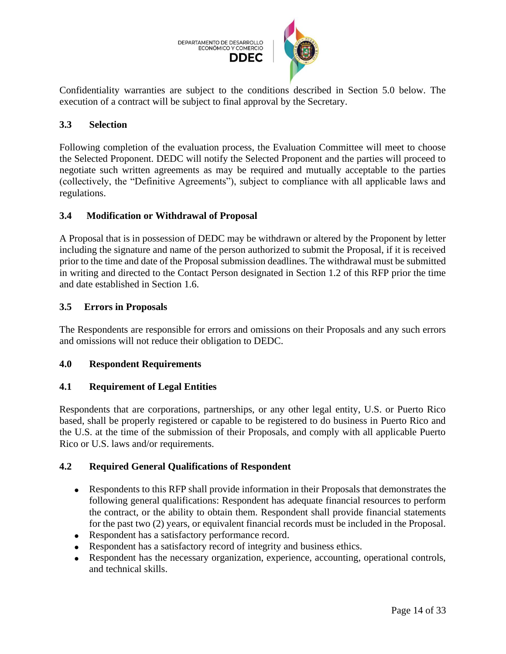

Confidentiality warranties are subject to the conditions described in Section 5.0 below. The execution of a contract will be subject to final approval by the Secretary.

# <span id="page-13-0"></span>**3.3 Selection**

Following completion of the evaluation process, the Evaluation Committee will meet to choose the Selected Proponent. DEDC will notify the Selected Proponent and the parties will proceed to negotiate such written agreements as may be required and mutually acceptable to the parties (collectively, the "Definitive Agreements"), subject to compliance with all applicable laws and regulations.

# <span id="page-13-1"></span>**3.4 Modification or Withdrawal of Proposal**

A Proposal that is in possession of DEDC may be withdrawn or altered by the Proponent by letter including the signature and name of the person authorized to submit the Proposal, if it is received prior to the time and date of the Proposal submission deadlines. The withdrawal must be submitted in writing and directed to the Contact Person designated in Section 1.2 of this RFP prior the time and date established in Section 1.6.

# <span id="page-13-2"></span>**3.5 Errors in Proposals**

The Respondents are responsible for errors and omissions on their Proposals and any such errors and omissions will not reduce their obligation to DEDC.

# <span id="page-13-3"></span>**4.0 Respondent Requirements**

# <span id="page-13-4"></span>**4.1 Requirement of Legal Entities**

Respondents that are corporations, partnerships, or any other legal entity, U.S. or Puerto Rico based, shall be properly registered or capable to be registered to do business in Puerto Rico and the U.S. at the time of the submission of their Proposals, and comply with all applicable Puerto Rico or U.S. laws and/or requirements.

# <span id="page-13-5"></span>**4.2 Required General Qualifications of Respondent**

- Respondents to this RFP shall provide information in their Proposals that demonstrates the following general qualifications: Respondent has adequate financial resources to perform the contract, or the ability to obtain them. Respondent shall provide financial statements for the past two (2) years, or equivalent financial records must be included in the Proposal.
- Respondent has a satisfactory performance record.
- Respondent has a satisfactory record of integrity and business ethics.
- Respondent has the necessary organization, experience, accounting, operational controls, and technical skills.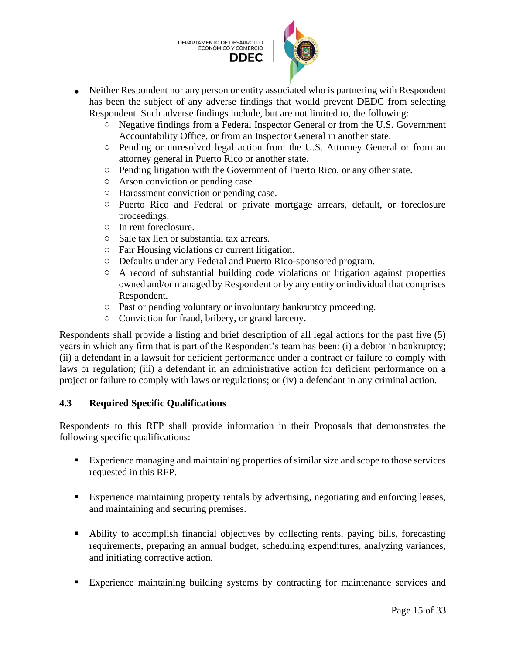DEPARTAMENTO DE DESARROLLO ECONÓMICO Y COMERCIO **DDEC** 



- Neither Respondent nor any person or entity associated who is partnering with Respondent has been the subject of any adverse findings that would prevent DEDC from selecting Respondent. Such adverse findings include, but are not limited to, the following:
	- o Negative findings from a Federal Inspector General or from the U.S. Government Accountability Office, or from an Inspector General in another state.
	- o Pending or unresolved legal action from the U.S. Attorney General or from an attorney general in Puerto Rico or another state.
	- o Pending litigation with the Government of Puerto Rico, or any other state.
	- o Arson conviction or pending case.
	- o Harassment conviction or pending case.
	- o Puerto Rico and Federal or private mortgage arrears, default, or foreclosure proceedings.
	- o In rem foreclosure.
	- o Sale tax lien or substantial tax arrears.
	- o Fair Housing violations or current litigation.
	- o Defaults under any Federal and Puerto Rico-sponsored program.
	- o A record of substantial building code violations or litigation against properties owned and/or managed by Respondent or by any entity or individual that comprises Respondent.
	- o Past or pending voluntary or involuntary bankruptcy proceeding.
	- o Conviction for fraud, bribery, or grand larceny.

Respondents shall provide a listing and brief description of all legal actions for the past five (5) years in which any firm that is part of the Respondent's team has been: (i) a debtor in bankruptcy; (ii) a defendant in a lawsuit for deficient performance under a contract or failure to comply with laws or regulation; (iii) a defendant in an administrative action for deficient performance on a project or failure to comply with laws or regulations; or (iv) a defendant in any criminal action.

# <span id="page-14-0"></span>**4.3 Required Specific Qualifications**

Respondents to this RFP shall provide information in their Proposals that demonstrates the following specific qualifications:

- Experience managing and maintaining properties of similar size and scope to those services requested in this RFP.
- Experience maintaining property rentals by advertising, negotiating and enforcing leases, and maintaining and securing premises.
- Ability to accomplish financial objectives by collecting rents, paying bills, forecasting requirements, preparing an annual budget, scheduling expenditures, analyzing variances, and initiating corrective action.
- Experience maintaining building systems by contracting for maintenance services and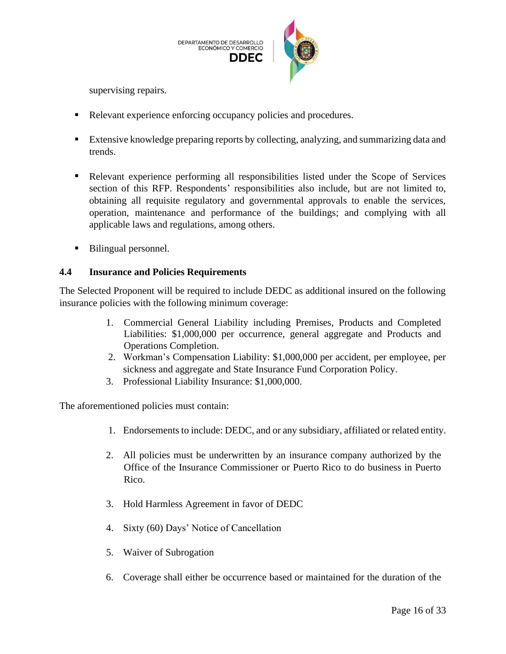

supervising repairs.

- Relevant experience enforcing occupancy policies and procedures.
- Extensive knowledge preparing reports by collecting, analyzing, and summarizing data and trends.
- **•** Relevant experience performing all responsibilities listed under the Scope of Services section of this RFP. Respondents' responsibilities also include, but are not limited to, obtaining all requisite regulatory and governmental approvals to enable the services, operation, maintenance and performance of the buildings; and complying with all applicable laws and regulations, among others.
- Bilingual personnel.

# <span id="page-15-0"></span>**4.4 Insurance and Policies Requirements**

The Selected Proponent will be required to include DEDC as additional insured on the following insurance policies with the following minimum coverage:

- 1. Commercial General Liability including Premises, Products and Completed Liabilities: \$1,000,000 per occurrence, general aggregate and Products and Operations Completion.
- 2. Workman's Compensation Liability: \$1,000,000 per accident, per employee, per sickness and aggregate and State Insurance Fund Corporation Policy.
- 3. Professional Liability Insurance: \$1,000,000.

The aforementioned policies must contain:

- 1. Endorsements to include: DEDC, and or any subsidiary, affiliated or related entity.
- 2. All policies must be underwritten by an insurance company authorized by the Office of the Insurance Commissioner or Puerto Rico to do business in Puerto Rico.
- 3. Hold Harmless Agreement in favor of DEDC
- 4. Sixty (60) Days' Notice of Cancellation
- 5. Waiver of Subrogation
- 6. Coverage shall either be occurrence based or maintained for the duration of the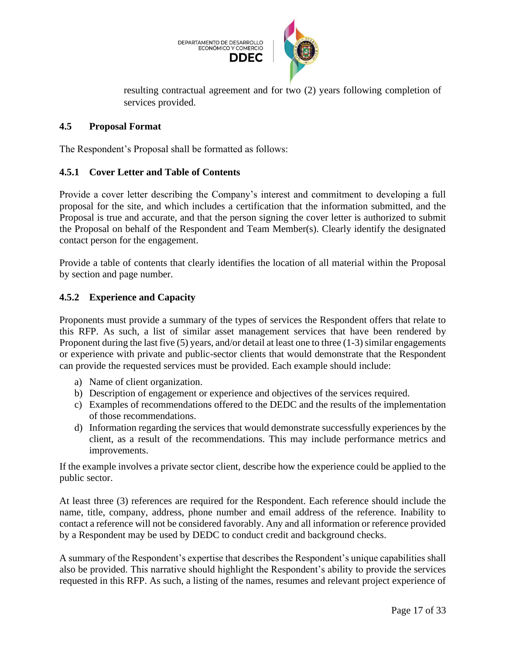

resulting contractual agreement and for two (2) years following completion of services provided.

#### <span id="page-16-0"></span>**4.5 Proposal Format**

The Respondent's Proposal shall be formatted as follows:

#### <span id="page-16-1"></span>**4.5.1 Cover Letter and Table of Contents**

Provide a cover letter describing the Company's interest and commitment to developing a full proposal for the site, and which includes a certification that the information submitted, and the Proposal is true and accurate, and that the person signing the cover letter is authorized to submit the Proposal on behalf of the Respondent and Team Member(s). Clearly identify the designated contact person for the engagement.

Provide a table of contents that clearly identifies the location of all material within the Proposal by section and page number.

#### <span id="page-16-2"></span>**4.5.2 Experience and Capacity**

Proponents must provide a summary of the types of services the Respondent offers that relate to this RFP. As such, a list of similar asset management services that have been rendered by Proponent during the last five (5) years, and/or detail at least one to three (1-3) similar engagements or experience with private and public-sector clients that would demonstrate that the Respondent can provide the requested services must be provided. Each example should include:

- a) Name of client organization.
- b) Description of engagement or experience and objectives of the services required.
- c) Examples of recommendations offered to the DEDC and the results of the implementation of those recommendations.
- d) Information regarding the services that would demonstrate successfully experiences by the client, as a result of the recommendations. This may include performance metrics and improvements.

If the example involves a private sector client, describe how the experience could be applied to the public sector.

At least three (3) references are required for the Respondent. Each reference should include the name, title, company, address, phone number and email address of the reference. Inability to contact a reference will not be considered favorably. Any and all information or reference provided by a Respondent may be used by DEDC to conduct credit and background checks.

A summary of the Respondent's expertise that describes the Respondent's unique capabilities shall also be provided. This narrative should highlight the Respondent's ability to provide the services requested in this RFP. As such, a listing of the names, resumes and relevant project experience of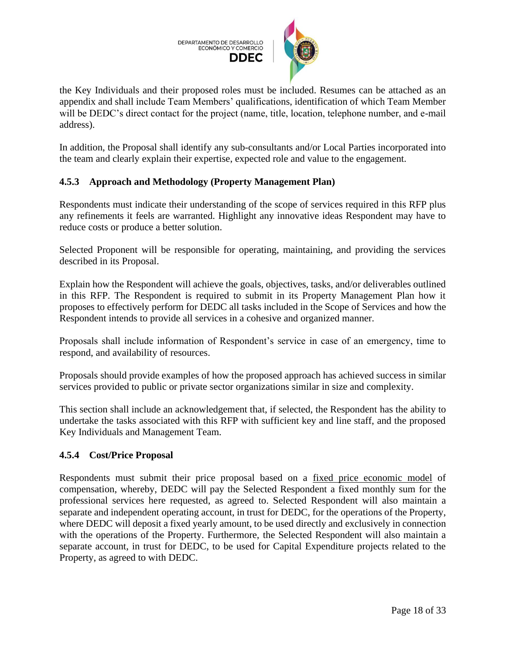

the Key Individuals and their proposed roles must be included. Resumes can be attached as an appendix and shall include Team Members' qualifications, identification of which Team Member will be DEDC's direct contact for the project (name, title, location, telephone number, and e-mail address).

In addition, the Proposal shall identify any sub-consultants and/or Local Parties incorporated into the team and clearly explain their expertise, expected role and value to the engagement.

# <span id="page-17-0"></span>**4.5.3 Approach and Methodology (Property Management Plan)**

Respondents must indicate their understanding of the scope of services required in this RFP plus any refinements it feels are warranted. Highlight any innovative ideas Respondent may have to reduce costs or produce a better solution.

Selected Proponent will be responsible for operating, maintaining, and providing the services described in its Proposal.

Explain how the Respondent will achieve the goals, objectives, tasks, and/or deliverables outlined in this RFP. The Respondent is required to submit in its Property Management Plan how it proposes to effectively perform for DEDC all tasks included in the Scope of Services and how the Respondent intends to provide all services in a cohesive and organized manner.

Proposals shall include information of Respondent's service in case of an emergency, time to respond, and availability of resources.

Proposals should provide examples of how the proposed approach has achieved success in similar services provided to public or private sector organizations similar in size and complexity.

This section shall include an acknowledgement that, if selected, the Respondent has the ability to undertake the tasks associated with this RFP with sufficient key and line staff, and the proposed Key Individuals and Management Team.

# <span id="page-17-1"></span>**4.5.4 Cost/Price Proposal**

Respondents must submit their price proposal based on a fixed price economic model of compensation, whereby, DEDC will pay the Selected Respondent a fixed monthly sum for the professional services here requested, as agreed to. Selected Respondent will also maintain a separate and independent operating account, in trust for DEDC, for the operations of the Property, where DEDC will deposit a fixed yearly amount, to be used directly and exclusively in connection with the operations of the Property. Furthermore, the Selected Respondent will also maintain a separate account, in trust for DEDC, to be used for Capital Expenditure projects related to the Property, as agreed to with DEDC.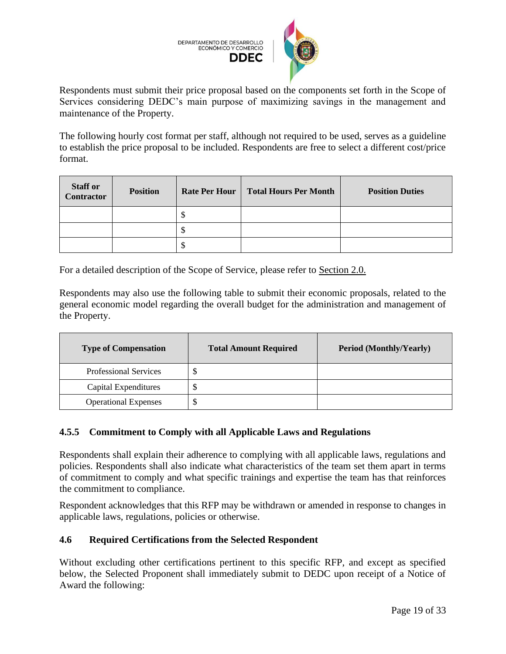

Respondents must submit their price proposal based on the components set forth in the Scope of Services considering DEDC's main purpose of maximizing savings in the management and maintenance of the Property.

The following hourly cost format per staff, although not required to be used, serves as a guideline to establish the price proposal to be included. Respondents are free to select a different cost/price format.

| <b>Staff or</b><br><b>Contractor</b> | <b>Position</b> | <b>Rate Per Hour</b> | <b>Total Hours Per Month</b> | <b>Position Duties</b> |
|--------------------------------------|-----------------|----------------------|------------------------------|------------------------|
|                                      |                 |                      |                              |                        |
|                                      |                 |                      |                              |                        |
|                                      |                 |                      |                              |                        |

For a detailed description of the Scope of Service, please refer to Section 2.0.

Respondents may also use the following table to submit their economic proposals, related to the general economic model regarding the overall budget for the administration and management of the Property.

| <b>Type of Compensation</b>  | <b>Total Amount Required</b> | <b>Period (Monthly/Yearly)</b> |
|------------------------------|------------------------------|--------------------------------|
| <b>Professional Services</b> | кD                           |                                |
| Capital Expenditures         |                              |                                |
| <b>Operational Expenses</b>  |                              |                                |

# <span id="page-18-0"></span>**4.5.5 Commitment to Comply with all Applicable Laws and Regulations**

Respondents shall explain their adherence to complying with all applicable laws, regulations and policies. Respondents shall also indicate what characteristics of the team set them apart in terms of commitment to comply and what specific trainings and expertise the team has that reinforces the commitment to compliance.

Respondent acknowledges that this RFP may be withdrawn or amended in response to changes in applicable laws, regulations, policies or otherwise.

# <span id="page-18-1"></span>**4.6 Required Certifications from the Selected Respondent**

Without excluding other certifications pertinent to this specific RFP, and except as specified below, the Selected Proponent shall immediately submit to DEDC upon receipt of a Notice of Award the following: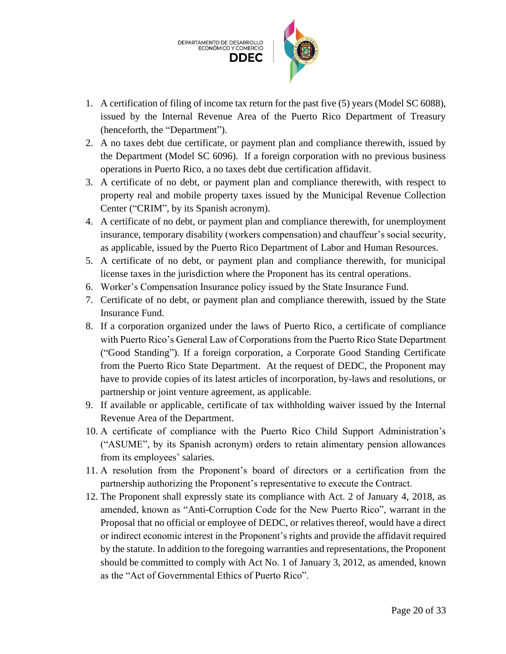

- 1. A certification of filing of income tax return for the past five (5) years (Model SC 6088), issued by the Internal Revenue Area of the Puerto Rico Department of Treasury (henceforth, the "Department").
- 2. A no taxes debt due certificate, or payment plan and compliance therewith, issued by the Department (Model SC 6096). If a foreign corporation with no previous business operations in Puerto Rico, a no taxes debt due certification affidavit.
- 3. A certificate of no debt, or payment plan and compliance therewith, with respect to property real and mobile property taxes issued by the Municipal Revenue Collection Center ("CRIM", by its Spanish acronym).
- 4. A certificate of no debt, or payment plan and compliance therewith, for unemployment insurance, temporary disability (workers compensation) and chauffeur's social security, as applicable, issued by the Puerto Rico Department of Labor and Human Resources.
- 5. A certificate of no debt, or payment plan and compliance therewith, for municipal license taxes in the jurisdiction where the Proponent has its central operations.
- 6. Worker's Compensation Insurance policy issued by the State Insurance Fund.
- 7. Certificate of no debt, or payment plan and compliance therewith, issued by the State Insurance Fund.
- 8. If a corporation organized under the laws of Puerto Rico, a certificate of compliance with Puerto Rico's General Law of Corporations from the Puerto Rico State Department ("Good Standing"). If a foreign corporation, a Corporate Good Standing Certificate from the Puerto Rico State Department. At the request of DEDC, the Proponent may have to provide copies of its latest articles of incorporation, by-laws and resolutions, or partnership or joint venture agreement, as applicable.
- 9. If available or applicable, certificate of tax withholding waiver issued by the Internal Revenue Area of the Department.
- 10. A certificate of compliance with the Puerto Rico Child Support Administration's ("ASUME", by its Spanish acronym) orders to retain alimentary pension allowances from its employees' salaries.
- 11. A resolution from the Proponent's board of directors or a certification from the partnership authorizing the Proponent's representative to execute the Contract.
- 12. The Proponent shall expressly state its compliance with Act. 2 of January 4, 2018, as amended, known as "Anti-Corruption Code for the New Puerto Rico", warrant in the Proposal that no official or employee of DEDC, or relatives thereof, would have a direct or indirect economic interest in the Proponent's rights and provide the affidavit required by the statute. In addition to the foregoing warranties and representations, the Proponent should be committed to comply with Act No. 1 of January 3, 2012, as amended, known as the "Act of Governmental Ethics of Puerto Rico".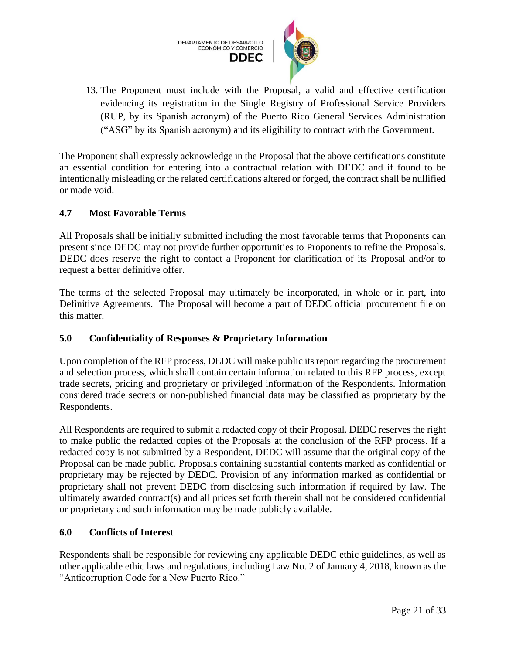

13. The Proponent must include with the Proposal, a valid and effective certification evidencing its registration in the Single Registry of Professional Service Providers (RUP, by its Spanish acronym) of the Puerto Rico General Services Administration ("ASG" by its Spanish acronym) and its eligibility to contract with the Government.

The Proponent shall expressly acknowledge in the Proposal that the above certifications constitute an essential condition for entering into a contractual relation with DEDC and if found to be intentionally misleading or the related certifications altered or forged, the contract shall be nullified or made void.

#### <span id="page-20-0"></span>**4.7 Most Favorable Terms**

All Proposals shall be initially submitted including the most favorable terms that Proponents can present since DEDC may not provide further opportunities to Proponents to refine the Proposals. DEDC does reserve the right to contact a Proponent for clarification of its Proposal and/or to request a better definitive offer.

The terms of the selected Proposal may ultimately be incorporated, in whole or in part, into Definitive Agreements. The Proposal will become a part of DEDC official procurement file on this matter.

# <span id="page-20-1"></span>**5.0 Confidentiality of Responses & Proprietary Information**

Upon completion of the RFP process, DEDC will make public its report regarding the procurement and selection process, which shall contain certain information related to this RFP process, except trade secrets, pricing and proprietary or privileged information of the Respondents. Information considered trade secrets or non-published financial data may be classified as proprietary by the Respondents.

All Respondents are required to submit a redacted copy of their Proposal. DEDC reserves the right to make public the redacted copies of the Proposals at the conclusion of the RFP process. If a redacted copy is not submitted by a Respondent, DEDC will assume that the original copy of the Proposal can be made public. Proposals containing substantial contents marked as confidential or proprietary may be rejected by DEDC. Provision of any information marked as confidential or proprietary shall not prevent DEDC from disclosing such information if required by law. The ultimately awarded contract(s) and all prices set forth therein shall not be considered confidential or proprietary and such information may be made publicly available.

#### <span id="page-20-2"></span>**6.0 Conflicts of Interest**

Respondents shall be responsible for reviewing any applicable DEDC ethic guidelines, as well as other applicable ethic laws and regulations, including Law No. 2 of January 4, 2018, known as the "Anticorruption Code for a New Puerto Rico."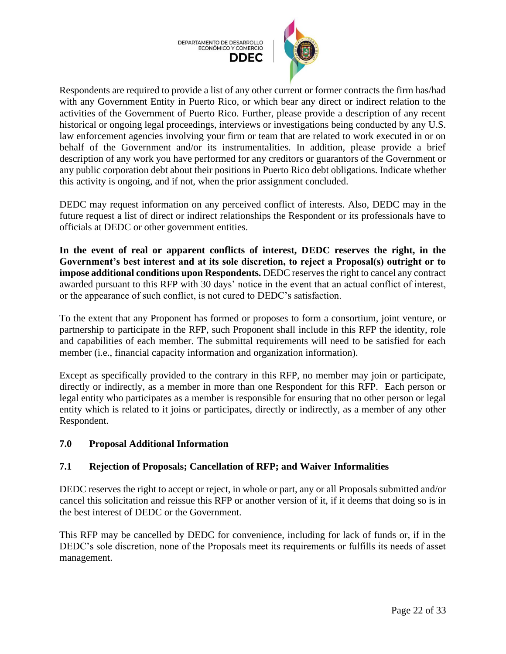



Respondents are required to provide a list of any other current or former contracts the firm has/had with any Government Entity in Puerto Rico, or which bear any direct or indirect relation to the activities of the Government of Puerto Rico. Further, please provide a description of any recent historical or ongoing legal proceedings, interviews or investigations being conducted by any U.S. law enforcement agencies involving your firm or team that are related to work executed in or on behalf of the Government and/or its instrumentalities. In addition, please provide a brief description of any work you have performed for any creditors or guarantors of the Government or any public corporation debt about their positions in Puerto Rico debt obligations. Indicate whether this activity is ongoing, and if not, when the prior assignment concluded.

DEDC may request information on any perceived conflict of interests. Also, DEDC may in the future request a list of direct or indirect relationships the Respondent or its professionals have to officials at DEDC or other government entities.

**In the event of real or apparent conflicts of interest, DEDC reserves the right, in the Government's best interest and at its sole discretion, to reject a Proposal(s) outright or to impose additional conditions upon Respondents.** DEDC reserves the right to cancel any contract awarded pursuant to this RFP with 30 days' notice in the event that an actual conflict of interest, or the appearance of such conflict, is not cured to DEDC's satisfaction.

To the extent that any Proponent has formed or proposes to form a consortium, joint venture, or partnership to participate in the RFP, such Proponent shall include in this RFP the identity, role and capabilities of each member. The submittal requirements will need to be satisfied for each member (i.e., financial capacity information and organization information).

Except as specifically provided to the contrary in this RFP, no member may join or participate, directly or indirectly, as a member in more than one Respondent for this RFP. Each person or legal entity who participates as a member is responsible for ensuring that no other person or legal entity which is related to it joins or participates, directly or indirectly, as a member of any other Respondent.

# <span id="page-21-0"></span>**7.0 Proposal Additional Information**

# <span id="page-21-1"></span>**7.1 Rejection of Proposals; Cancellation of RFP; and Waiver Informalities**

DEDC reserves the right to accept or reject, in whole or part, any or all Proposals submitted and/or cancel this solicitation and reissue this RFP or another version of it, if it deems that doing so is in the best interest of DEDC or the Government.

This RFP may be cancelled by DEDC for convenience, including for lack of funds or, if in the DEDC's sole discretion, none of the Proposals meet its requirements or fulfills its needs of asset management.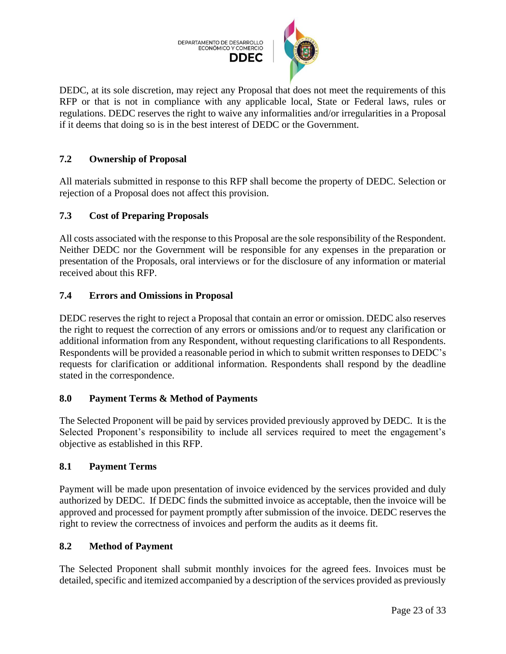

DEDC, at its sole discretion, may reject any Proposal that does not meet the requirements of this RFP or that is not in compliance with any applicable local, State or Federal laws, rules or regulations. DEDC reserves the right to waive any informalities and/or irregularities in a Proposal if it deems that doing so is in the best interest of DEDC or the Government.

# <span id="page-22-0"></span>**7.2 Ownership of Proposal**

All materials submitted in response to this RFP shall become the property of DEDC. Selection or rejection of a Proposal does not affect this provision.

# <span id="page-22-1"></span>**7.3 Cost of Preparing Proposals**

All costs associated with the response to this Proposal are the sole responsibility of the Respondent. Neither DEDC nor the Government will be responsible for any expenses in the preparation or presentation of the Proposals, oral interviews or for the disclosure of any information or material received about this RFP.

# <span id="page-22-2"></span>**7.4 Errors and Omissions in Proposal**

DEDC reserves the right to reject a Proposal that contain an error or omission. DEDC also reserves the right to request the correction of any errors or omissions and/or to request any clarification or additional information from any Respondent, without requesting clarifications to all Respondents. Respondents will be provided a reasonable period in which to submit written responses to DEDC's requests for clarification or additional information. Respondents shall respond by the deadline stated in the correspondence.

# <span id="page-22-3"></span>**8.0 Payment Terms & Method of Payments**

The Selected Proponent will be paid by services provided previously approved by DEDC. It is the Selected Proponent's responsibility to include all services required to meet the engagement's objective as established in this RFP.

# <span id="page-22-4"></span>**8.1 Payment Terms**

Payment will be made upon presentation of invoice evidenced by the services provided and duly authorized by DEDC. If DEDC finds the submitted invoice as acceptable, then the invoice will be approved and processed for payment promptly after submission of the invoice. DEDC reserves the right to review the correctness of invoices and perform the audits as it deems fit.

# <span id="page-22-5"></span>**8.2 Method of Payment**

The Selected Proponent shall submit monthly invoices for the agreed fees. Invoices must be detailed, specific and itemized accompanied by a description of the services provided as previously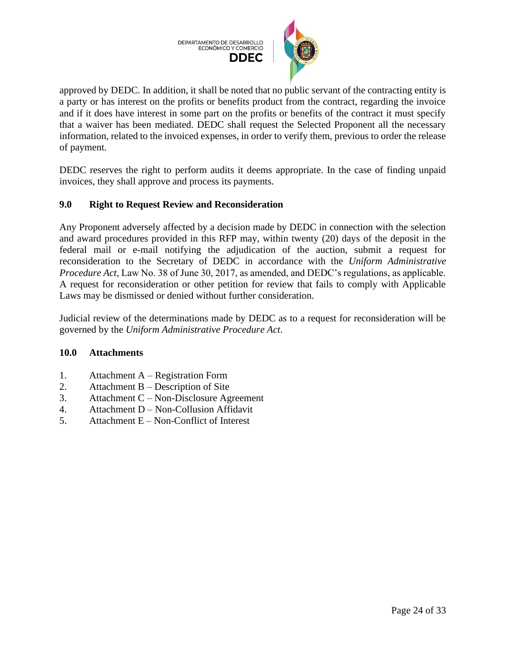

approved by DEDC. In addition, it shall be noted that no public servant of the contracting entity is a party or has interest on the profits or benefits product from the contract, regarding the invoice and if it does have interest in some part on the profits or benefits of the contract it must specify that a waiver has been mediated. DEDC shall request the Selected Proponent all the necessary information, related to the invoiced expenses, in order to verify them, previous to order the release of payment.

DEDC reserves the right to perform audits it deems appropriate. In the case of finding unpaid invoices, they shall approve and process its payments.

# <span id="page-23-0"></span>**9.0 Right to Request Review and Reconsideration**

Any Proponent adversely affected by a decision made by DEDC in connection with the selection and award procedures provided in this RFP may, within twenty (20) days of the deposit in the federal mail or e-mail notifying the adjudication of the auction, submit a request for reconsideration to the Secretary of DEDC in accordance with the *Uniform Administrative Procedure Act*, Law No. 38 of June 30, 2017, as amended, and DEDC's regulations, as applicable. A request for reconsideration or other petition for review that fails to comply with Applicable Laws may be dismissed or denied without further consideration.

Judicial review of the determinations made by DEDC as to a request for reconsideration will be governed by the *Uniform Administrative Procedure Act*.

#### <span id="page-23-1"></span>**10.0 Attachments**

- 1. Attachment A Registration Form
- 2. Attachment B Description of Site
- 3. Attachment C Non-Disclosure Agreement
- 4. Attachment D Non-Collusion Affidavit
- 5. Attachment E Non-Conflict of Interest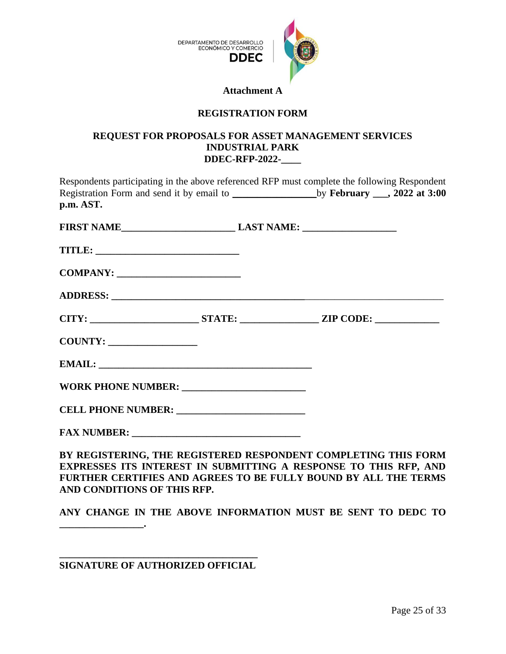

#### **Attachment A**

# **REGISTRATION FORM**

#### <span id="page-24-0"></span>**REQUEST FOR PROPOSALS FOR ASSET MANAGEMENT SERVICES INDUSTRIAL PARK DDEC-RFP-2022-\_\_\_\_**

| Respondents participating in the above referenced RFP must complete the following Respondent<br>Registration Form and send it by email to ___________________________by February ___, 2022 at 3:00<br>p.m. AST. |  |                                                               |
|-----------------------------------------------------------------------------------------------------------------------------------------------------------------------------------------------------------------|--|---------------------------------------------------------------|
| FIRST NAME______________________________LAST NAME: _____________________________                                                                                                                                |  |                                                               |
|                                                                                                                                                                                                                 |  |                                                               |
|                                                                                                                                                                                                                 |  |                                                               |
|                                                                                                                                                                                                                 |  |                                                               |
|                                                                                                                                                                                                                 |  |                                                               |
|                                                                                                                                                                                                                 |  |                                                               |
|                                                                                                                                                                                                                 |  |                                                               |
|                                                                                                                                                                                                                 |  |                                                               |
|                                                                                                                                                                                                                 |  |                                                               |
|                                                                                                                                                                                                                 |  |                                                               |
|                                                                                                                                                                                                                 |  | DI DECISEDDILE WIE DECISEDED DESDALDIW CALDI PAILE WIE LODI ( |

**BY REGISTERING, THE REGISTERED RESPONDENT COMPLETING THIS FORM EXPRESSES ITS INTEREST IN SUBMITTING A RESPONSE TO THIS RFP, AND FURTHER CERTIFIES AND AGREES TO BE FULLY BOUND BY ALL THE TERMS AND CONDITIONS OF THIS RFP.**

**ANY CHANGE IN THE ABOVE INFORMATION MUST BE SENT TO DEDC TO**

**\_\_\_\_\_\_\_\_\_\_\_\_\_\_\_\_\_\_\_\_\_\_\_\_\_\_\_\_\_\_\_\_\_\_\_\_\_\_\_\_ SIGNATURE OF AUTHORIZED OFFICIAL**

**\_\_\_\_\_\_\_\_\_\_\_\_\_\_\_\_\_.**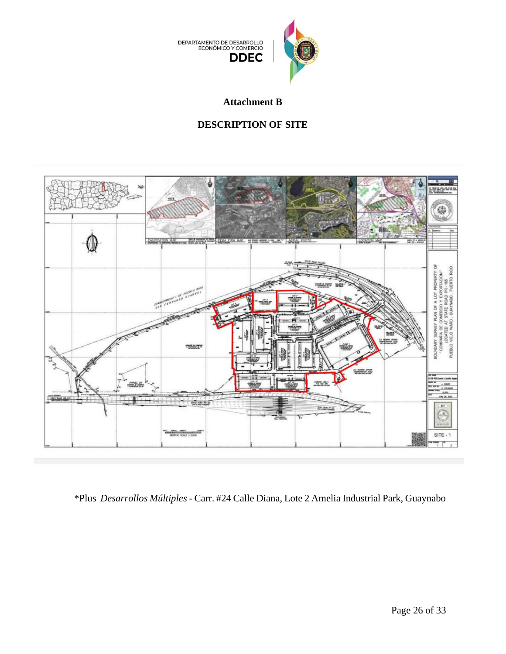

**Attachment B**

# **DESCRIPTION OF SITE**

<span id="page-25-0"></span>

\*Plus *Desarrollos Múltiples* - Carr. #24 Calle Diana, Lote 2 Amelia Industrial Park, Guaynabo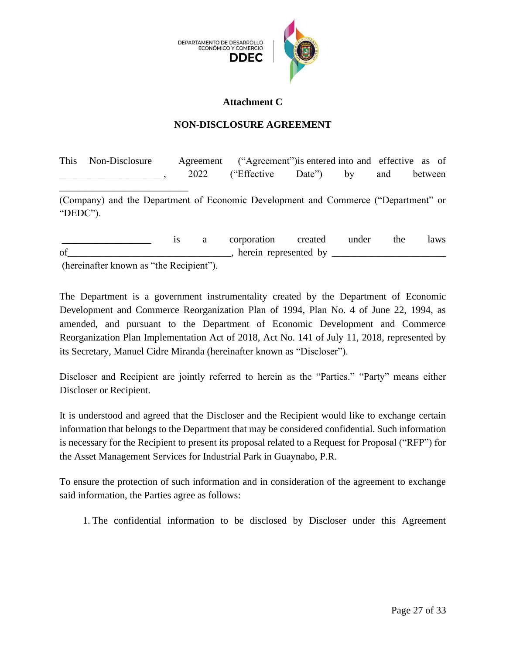

#### **Attachment C**

# **NON-DISCLOSURE AGREEMENT**

<span id="page-26-0"></span>This Non-Disclosure Agreement ("Agreement")is entered into and effective as of example 2022 ("Effective Date") by and between

(Company) and the Department of Economic Development and Commerce ("Department" or "DEDC").

\_\_\_\_\_\_\_\_\_\_\_\_\_\_\_\_\_\_\_\_\_\_\_\_\_\_

is a corporation created under the laws of\_\_\_\_\_\_\_\_\_\_\_\_\_\_\_\_\_\_\_\_\_\_\_\_\_\_\_\_\_\_\_\_\_, herein represented by \_\_\_\_\_\_\_\_\_\_\_\_\_\_\_\_\_\_\_\_\_\_\_ (hereinafter known as "the Recipient").

The Department is a government instrumentality created by the Department of Economic Development and Commerce Reorganization Plan of 1994, Plan No. 4 of June 22, 1994, as amended, and pursuant to the Department of Economic Development and Commerce Reorganization Plan Implementation Act of 2018, Act No. 141 of July 11, 2018, represented by its Secretary, Manuel Cidre Miranda (hereinafter known as "Discloser").

Discloser and Recipient are jointly referred to herein as the "Parties." "Party" means either Discloser or Recipient.

It is understood and agreed that the Discloser and the Recipient would like to exchange certain information that belongs to the Department that may be considered confidential. Such information is necessary for the Recipient to present its proposal related to a Request for Proposal ("RFP") for the Asset Management Services for Industrial Park in Guaynabo, P.R.

To ensure the protection of such information and in consideration of the agreement to exchange said information, the Parties agree as follows:

1. The confidential information to be disclosed by Discloser under this Agreement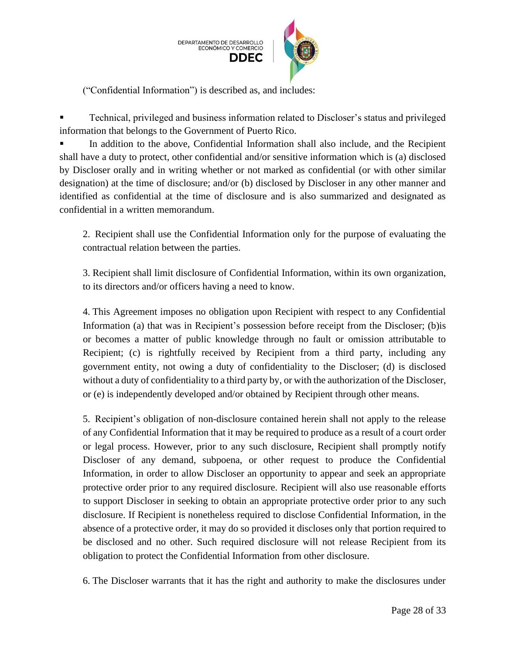

("Confidential Information") is described as, and includes:

Technical, privileged and business information related to Discloser's status and privileged information that belongs to the Government of Puerto Rico.

In addition to the above, Confidential Information shall also include, and the Recipient shall have a duty to protect, other confidential and/or sensitive information which is (a) disclosed by Discloser orally and in writing whether or not marked as confidential (or with other similar designation) at the time of disclosure; and/or (b) disclosed by Discloser in any other manner and identified as confidential at the time of disclosure and is also summarized and designated as confidential in a written memorandum.

2. Recipient shall use the Confidential Information only for the purpose of evaluating the contractual relation between the parties.

3. Recipient shall limit disclosure of Confidential Information, within its own organization, to its directors and/or officers having a need to know.

4. This Agreement imposes no obligation upon Recipient with respect to any Confidential Information (a) that was in Recipient's possession before receipt from the Discloser; (b)is or becomes a matter of public knowledge through no fault or omission attributable to Recipient; (c) is rightfully received by Recipient from a third party, including any government entity, not owing a duty of confidentiality to the Discloser; (d) is disclosed without a duty of confidentiality to a third party by, or with the authorization of the Discloser, or (e) is independently developed and/or obtained by Recipient through other means.

5. Recipient's obligation of non-disclosure contained herein shall not apply to the release of any Confidential Information that it may be required to produce as a result of a court order or legal process. However, prior to any such disclosure, Recipient shall promptly notify Discloser of any demand, subpoena, or other request to produce the Confidential Information, in order to allow Discloser an opportunity to appear and seek an appropriate protective order prior to any required disclosure. Recipient will also use reasonable efforts to support Discloser in seeking to obtain an appropriate protective order prior to any such disclosure. If Recipient is nonetheless required to disclose Confidential Information, in the absence of a protective order, it may do so provided it discloses only that portion required to be disclosed and no other. Such required disclosure will not release Recipient from its obligation to protect the Confidential Information from other disclosure.

6. The Discloser warrants that it has the right and authority to make the disclosures under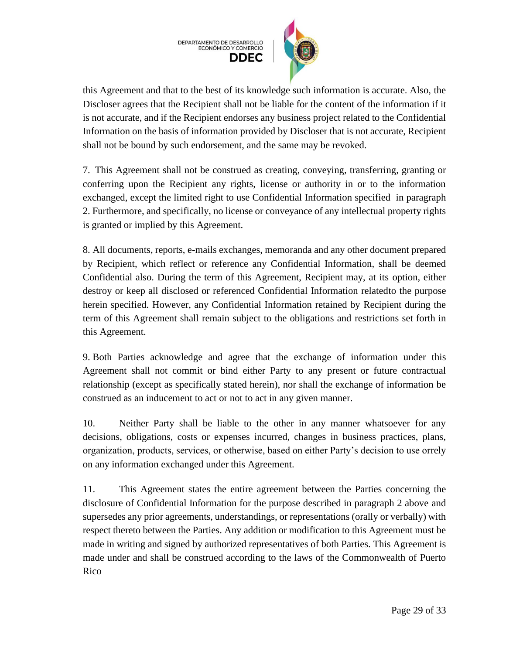

this Agreement and that to the best of its knowledge such information is accurate. Also, the Discloser agrees that the Recipient shall not be liable for the content of the information if it is not accurate, and if the Recipient endorses any business project related to the Confidential Information on the basis of information provided by Discloser that is not accurate, Recipient shall not be bound by such endorsement, and the same may be revoked.

7. This Agreement shall not be construed as creating, conveying, transferring, granting or conferring upon the Recipient any rights, license or authority in or to the information exchanged, except the limited right to use Confidential Information specified in paragraph 2. Furthermore, and specifically, no license or conveyance of any intellectual property rights is granted or implied by this Agreement.

8. All documents, reports, e-mails exchanges, memoranda and any other document prepared by Recipient, which reflect or reference any Confidential Information, shall be deemed Confidential also. During the term of this Agreement, Recipient may, at its option, either destroy or keep all disclosed or referenced Confidential Information relatedto the purpose herein specified. However, any Confidential Information retained by Recipient during the term of this Agreement shall remain subject to the obligations and restrictions set forth in this Agreement.

9. Both Parties acknowledge and agree that the exchange of information under this Agreement shall not commit or bind either Party to any present or future contractual relationship (except as specifically stated herein), nor shall the exchange of information be construed as an inducement to act or not to act in any given manner.

10. Neither Party shall be liable to the other in any manner whatsoever for any decisions, obligations, costs or expenses incurred, changes in business practices, plans, organization, products, services, or otherwise, based on either Party's decision to use orrely on any information exchanged under this Agreement.

11. This Agreement states the entire agreement between the Parties concerning the disclosure of Confidential Information for the purpose described in paragraph 2 above and supersedes any prior agreements, understandings, or representations (orally or verbally) with respect thereto between the Parties. Any addition or modification to this Agreement must be made in writing and signed by authorized representatives of both Parties. This Agreement is made under and shall be construed according to the laws of the Commonwealth of Puerto Rico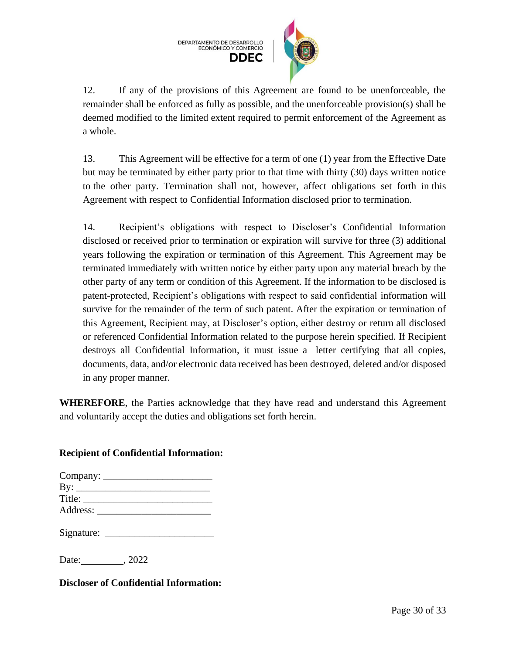

12. If any of the provisions of this Agreement are found to be unenforceable, the remainder shall be enforced as fully as possible, and the unenforceable provision(s) shall be deemed modified to the limited extent required to permit enforcement of the Agreement as a whole.

13. This Agreement will be effective for a term of one (1) year from the Effective Date but may be terminated by either party prior to that time with thirty (30) days written notice to the other party. Termination shall not, however, affect obligations set forth in this Agreement with respect to Confidential Information disclosed prior to termination.

14. Recipient's obligations with respect to Discloser's Confidential Information disclosed or received prior to termination or expiration will survive for three (3) additional years following the expiration or termination of this Agreement. This Agreement may be terminated immediately with written notice by either party upon any material breach by the other party of any term or condition of this Agreement. If the information to be disclosed is patent-protected, Recipient's obligations with respect to said confidential information will survive for the remainder of the term of such patent. After the expiration or termination of this Agreement, Recipient may, at Discloser's option, either destroy or return all disclosed or referenced Confidential Information related to the purpose herein specified. If Recipient destroys all Confidential Information, it must issue a letter certifying that all copies, documents, data, and/or electronic data received has been destroyed, deleted and/or disposed in any proper manner.

**WHEREFORE**, the Parties acknowledge that they have read and understand this Agreement and voluntarily accept the duties and obligations set forth herein.

# **Recipient of Confidential Information:**

|            | Company: |
|------------|----------|
| $\rm\,By:$ |          |
| Title:     |          |
| Address:   |          |

Signature: \_\_\_\_\_\_\_\_\_\_\_\_\_\_\_\_\_\_\_\_\_\_

Date: .2022

**Discloser of Confidential Information:**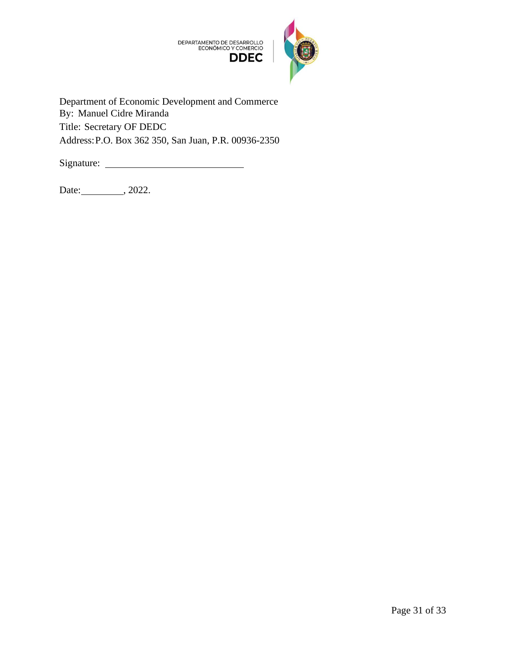

Department of Economic Development and Commerce By: Manuel Cidre Miranda Title: Secretary OF DEDC Address:P.O. Box 362 350, San Juan, P.R. 00936-2350

Signature:

Date: 0.2022.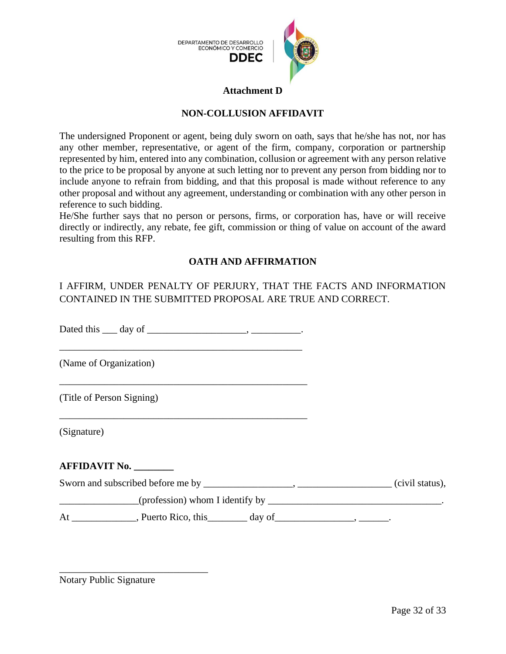

#### **Attachment D**

# **NON-COLLUSION AFFIDAVIT**

<span id="page-31-0"></span>The undersigned Proponent or agent, being duly sworn on oath, says that he/she has not, nor has any other member, representative, or agent of the firm, company, corporation or partnership represented by him, entered into any combination, collusion or agreement with any person relative to the price to be proposal by anyone at such letting nor to prevent any person from bidding nor to include anyone to refrain from bidding, and that this proposal is made without reference to any other proposal and without any agreement, understanding or combination with any other person in reference to such bidding.

He/She further says that no person or persons, firms, or corporation has, have or will receive directly or indirectly, any rebate, fee gift, commission or thing of value on account of the award resulting from this RFP.

#### **OATH AND AFFIRMATION**

# I AFFIRM, UNDER PENALTY OF PERJURY, THAT THE FACTS AND INFORMATION CONTAINED IN THE SUBMITTED PROPOSAL ARE TRUE AND CORRECT.

Dated this <u>quare day of  $\frac{1}{\sqrt{2}}$  and  $\frac{1}{\sqrt{2}}$  and  $\frac{1}{\sqrt{2}}$  and  $\frac{1}{\sqrt{2}}$  and  $\frac{1}{\sqrt{2}}$  and  $\frac{1}{\sqrt{2}}$  and  $\frac{1}{\sqrt{2}}$  and  $\frac{1}{\sqrt{2}}$  and  $\frac{1}{\sqrt{2}}$  and  $\frac{1}{\sqrt{2}}$  and  $\frac{1}{\sqrt{2}}$  and  $\frac{1}{\sqrt{2$ 

\_\_\_\_\_\_\_\_\_\_\_\_\_\_\_\_\_\_\_\_\_\_\_\_\_\_\_\_\_\_\_\_\_\_\_\_\_\_\_\_\_\_\_\_\_\_\_\_\_

\_\_\_\_\_\_\_\_\_\_\_\_\_\_\_\_\_\_\_\_\_\_\_\_\_\_\_\_\_\_\_\_\_\_\_\_\_\_\_\_\_\_\_\_\_\_\_\_\_\_

\_\_\_\_\_\_\_\_\_\_\_\_\_\_\_\_\_\_\_\_\_\_\_\_\_\_\_\_\_\_\_\_\_\_\_\_\_\_\_\_\_\_\_\_\_\_\_\_\_\_

(Name of Organization)

(Title of Person Signing)

(Signature)

#### **AFFIDAVIT No. \_\_\_\_\_\_\_\_**

Sworn and subscribed before me by \_\_\_\_\_\_\_\_\_\_\_\_\_\_\_\_, \_\_\_\_\_\_\_\_\_\_\_\_\_\_\_\_\_(civil status),

 $(profession)$  whom I identify by  $\overline{\phantom{a}}$ 

At \_\_\_\_\_\_\_\_\_\_\_\_, Puerto Rico, this\_\_\_\_\_\_\_\_ day of\_\_\_\_\_\_\_\_\_\_\_\_\_\_\_\_, \_\_\_\_\_\_\_.

Notary Public Signature

\_\_\_\_\_\_\_\_\_\_\_\_\_\_\_\_\_\_\_\_\_\_\_\_\_\_\_\_\_\_